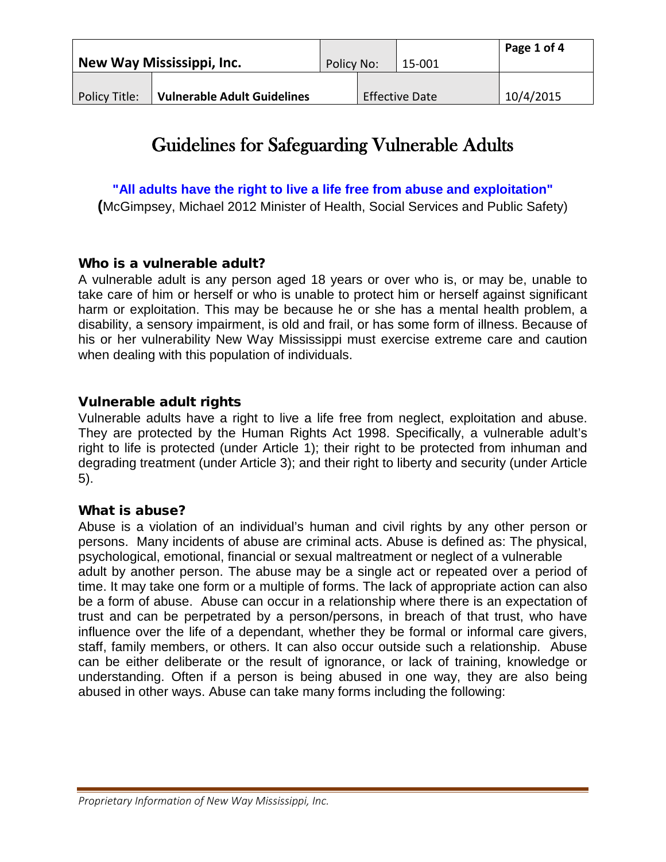| New Way Mississippi, Inc. |                                    | Policy No: |  | 15-001                | Page 1 of 4 |
|---------------------------|------------------------------------|------------|--|-----------------------|-------------|
| Policy Title:             | <b>Vulnerable Adult Guidelines</b> |            |  | <b>Effective Date</b> | 10/4/2015   |

# Guidelines for Safeguarding Vulnerable Adults

**"All adults have the right to live a life free from abuse and exploitation"**

**(**McGimpsey, Michael 2012 Minister of Health, Social Services and Public Safety)

## Who is a vulnerable adult?

A vulnerable adult is any person aged 18 years or over who is, or may be, unable to take care of him or herself or who is unable to protect him or herself against significant harm or exploitation. This may be because he or she has a mental health problem, a disability, a sensory impairment, is old and frail, or has some form of illness. Because of his or her vulnerability New Way Mississippi must exercise extreme care and caution when dealing with this population of individuals.

## Vulnerable adult rights

Vulnerable adults have a right to live a life free from neglect, exploitation and abuse. They are protected by the Human Rights Act 1998. Specifically, a vulnerable adult's right to life is protected (under Article 1); their right to be protected from inhuman and degrading treatment (under Article 3); and their right to liberty and security (under Article 5).

## What is abuse?

Abuse is a violation of an individual's human and civil rights by any other person or persons. Many incidents of abuse are criminal acts. Abuse is defined as: The physical, psychological, emotional, financial or sexual maltreatment or neglect of a vulnerable adult by another person. The abuse may be a single act or repeated over a period of time. It may take one form or a multiple of forms. The lack of appropriate action can also be a form of abuse. Abuse can occur in a relationship where there is an expectation of trust and can be perpetrated by a person/persons, in breach of that trust, who have influence over the life of a dependant, whether they be formal or informal care givers, staff, family members, or others. It can also occur outside such a relationship. Abuse can be either deliberate or the result of ignorance, or lack of training, knowledge or understanding. Often if a person is being abused in one way, they are also being abused in other ways. Abuse can take many forms including the following: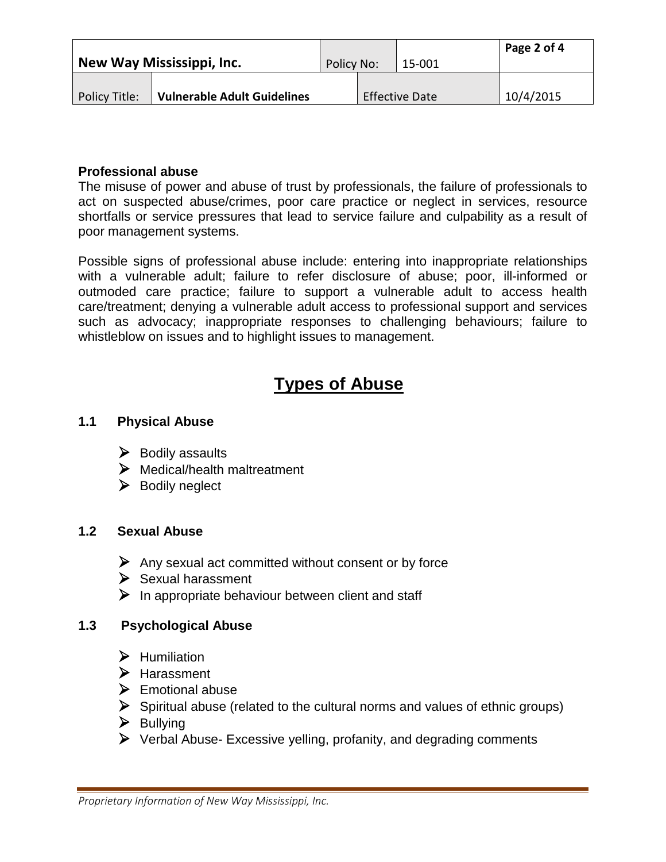| New Way Mississippi, Inc. |                                    | Policy No: |  | 15-001                | Page 2 of 4 |
|---------------------------|------------------------------------|------------|--|-----------------------|-------------|
| Policy Title:             | <b>Vulnerable Adult Guidelines</b> |            |  | <b>Effective Date</b> | 10/4/2015   |

#### **Professional abuse**

The misuse of power and abuse of trust by professionals, the failure of professionals to act on suspected abuse/crimes, poor care practice or neglect in services, resource shortfalls or service pressures that lead to service failure and culpability as a result of poor management systems.

Possible signs of professional abuse include: entering into inappropriate relationships with a vulnerable adult; failure to refer disclosure of abuse; poor, ill-informed or outmoded care practice; failure to support a vulnerable adult to access health care/treatment; denying a vulnerable adult access to professional support and services such as advocacy; inappropriate responses to challenging behaviours; failure to whistleblow on issues and to highlight issues to management.

## **Types of Abuse**

## **1.1 Physical Abuse**

- $\triangleright$  Bodily assaults
- Medical/health maltreatment
- $\triangleright$  Bodily neglect

#### **1.2 Sexual Abuse**

- $\triangleright$  Any sexual act committed without consent or by force
- $\triangleright$  Sexual harassment
- $\triangleright$  In appropriate behaviour between client and staff

## **1.3 Psychological Abuse**

- $\blacktriangleright$  Humiliation
- Harassment
- $\triangleright$  Emotional abuse
- $\triangleright$  Spiritual abuse (related to the cultural norms and values of ethnic groups)
- $\triangleright$  Bullying
- $\triangleright$  Verbal Abuse- Excessive yelling, profanity, and degrading comments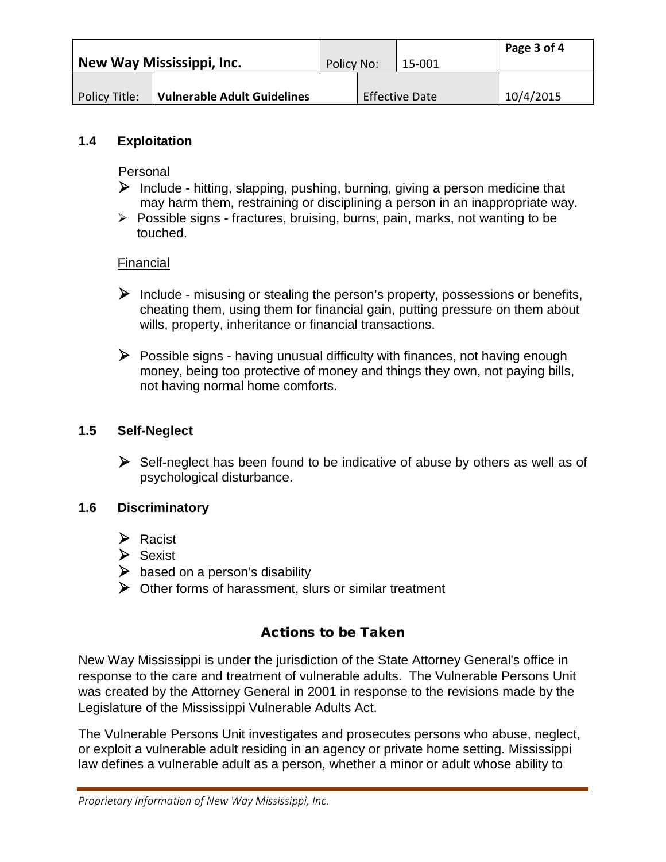| New Way Mississippi, Inc. |                                    | Policy No: |  | 15-001                | Page 3 of 4 |
|---------------------------|------------------------------------|------------|--|-----------------------|-------------|
| Policy Title:             | <b>Vulnerable Adult Guidelines</b> |            |  | <b>Effective Date</b> | 10/4/2015   |

#### **1.4 Exploitation**

Personal

- $\triangleright$  Include hitting, slapping, pushing, burning, giving a person medicine that may harm them, restraining or disciplining a person in an inappropriate way.
- $\triangleright$  Possible signs fractures, bruising, burns, pain, marks, not wanting to be touched.

## Financial

- $\triangleright$  Include misusing or stealing the person's property, possessions or benefits, cheating them, using them for financial gain, putting pressure on them about wills, property, inheritance or financial transactions.
- $\triangleright$  Possible signs having unusual difficulty with finances, not having enough money, being too protective of money and things they own, not paying bills, not having normal home comforts.

#### **1.5 Self-Neglect**

 $\triangleright$  Self-neglect has been found to be indicative of abuse by others as well as of psychological disturbance.

## **1.6 Discriminatory**

- $\triangleright$  Racist
- Sexist
- $\triangleright$  based on a person's disability
- $\triangleright$  Other forms of harassment, slurs or similar treatment

## Actions to be Taken

New Way Mississippi is under the jurisdiction of the State Attorney General's office in response to the care and treatment of vulnerable adults. The Vulnerable Persons Unit was created by the Attorney General in 2001 in response to the revisions made by the Legislature of the Mississippi Vulnerable Adults Act.

The Vulnerable Persons Unit investigates and prosecutes persons who abuse, neglect, or exploit a vulnerable adult residing in an agency or private home setting. Mississippi law defines a vulnerable adult as a person, whether a minor or adult whose ability to